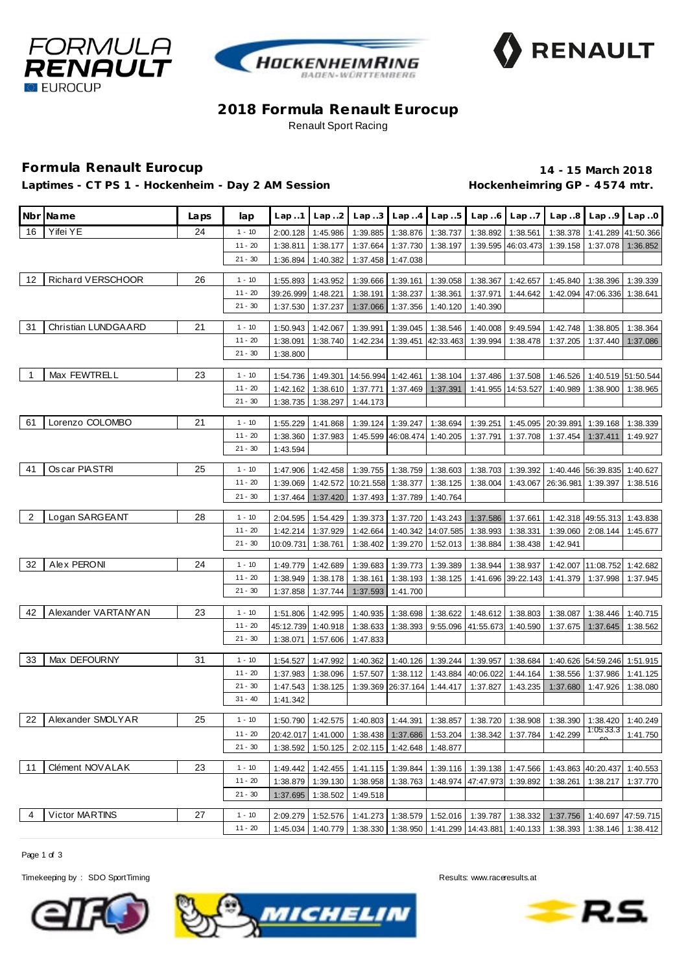





# **2018 Formula Renault Eurocup** Renault Sport Racing

### **Formula Renault Eurocup 14 - 15 March 2018**

Laptimes - CT PS 1 - Hockenheim - Day 2 AM Session **Hockenheimring GP** - 4574 mtr.

|                | Nbr Name            | Laps | lap       | Lap.1              |                   |                                              |                             |                    |                                                                                                              |                    | Lap2   Lap3   Lap4   Lap5   Lap6   Lap7   Lap8   Lap9   Lap0                                                                 |                    |                                                                                            |
|----------------|---------------------|------|-----------|--------------------|-------------------|----------------------------------------------|-----------------------------|--------------------|--------------------------------------------------------------------------------------------------------------|--------------------|------------------------------------------------------------------------------------------------------------------------------|--------------------|--------------------------------------------------------------------------------------------|
| 16             | Yifei YE            | 24   | $1 - 10$  | 2:00.128           | 1:45.986          | 1:39.885                                     |                             | 1:38.876 1:38.737  | 1:38.892                                                                                                     | 1:38.561           | 1:38.378                                                                                                                     | 1:41.289           | 41:50.366                                                                                  |
|                |                     |      | $11 - 20$ | 1:38.811           | 1:38.177          | 1:37.664                                     | 1:37.730                    | 1:38.197           | 1:39.595                                                                                                     | 46:03.473          | 1:39.158                                                                                                                     | 1:37.078           | 1:36.852                                                                                   |
|                |                     |      | $21 - 30$ | 1:36.894           | 1:40.382          | 1:37.458                                     | 1:47.038                    |                    |                                                                                                              |                    |                                                                                                                              |                    |                                                                                            |
| 12             | Richard VERSCHOOR   | 26   | $1 - 10$  | 1:55.893           | 1:43.952          | 1:39.666                                     | 1:39.161                    | 1:39.058           | 1:38.367                                                                                                     | 1:42.657           | 1:45.840                                                                                                                     | 1:38.396           | 1:39.339                                                                                   |
|                |                     |      | $11 - 20$ | 39:26.999          | 1:48.221          | 1:38.191                                     | 1:38.237                    | 1:38.361           | 1:37.971                                                                                                     | 1:44.642           | 1:42.094                                                                                                                     | 47:06.336          | 1:38.641                                                                                   |
|                |                     |      | $21 - 30$ | 1:37.530           | 1:37.237          | 1:37.066                                     | 1:37.356                    | 1:40.120           | 1:40.390                                                                                                     |                    |                                                                                                                              |                    |                                                                                            |
| 31             | Christian LUNDGAARD | 21   | $1 - 10$  | 1:50.943           | 1:42.067          | 1:39.991                                     | 1:39.045                    | 1:38.546           | 1:40.008                                                                                                     | 9:49.594           | 1:42.748                                                                                                                     | 1:38.805           | 1:38.364                                                                                   |
|                |                     |      | $11 - 20$ | 1:38.091           | 1:38.740          | 1:42.234                                     |                             | 1:39.451 42:33.463 | 1:39.994                                                                                                     | 1:38.478           | 1:37.205                                                                                                                     | 1:37.440           | 1:37.086                                                                                   |
|                |                     |      | $21 - 30$ | 1:38.800           |                   |                                              |                             |                    |                                                                                                              |                    |                                                                                                                              |                    |                                                                                            |
|                |                     |      |           |                    |                   |                                              |                             |                    |                                                                                                              |                    |                                                                                                                              |                    |                                                                                            |
| $\overline{1}$ | Max FEWTRELL        | 23   | $1 - 10$  | 1:54.736           | 1:49.301          |                                              | 14:56.994 1:42.461 1:38.104 |                    |                                                                                                              | 1:37.486 1:37.508  | 1:46.526                                                                                                                     | 1:40.519           | 51:50.544                                                                                  |
|                |                     |      | $11 - 20$ | 1:42.162           | 1:38.610          | 1:37.771                                     | 1:37.469                    | 1:37.391           |                                                                                                              | 1:41.955 14:53.527 | 1:40.989                                                                                                                     | 1:38.900           | 1:38.965                                                                                   |
|                |                     |      | $21 - 30$ | 1:38.735           | 1:38.297          | 1:44.173                                     |                             |                    |                                                                                                              |                    |                                                                                                                              |                    |                                                                                            |
| 61             | Lorenzo COLOMBO     | 21   | $1 - 10$  | 1:55.229           | 1:41.868          | 1:39.124                                     |                             | 1:39.247 1:38.694  | 1:39.251                                                                                                     |                    | 1:45.095 20:39.891                                                                                                           | 1:39.168           | 1:38.339                                                                                   |
|                |                     |      | $11 - 20$ | 1:38.360           | 1:37.983          |                                              | 1:45.599 46:08.474 1:40.205 |                    | 1:37.791                                                                                                     | 1:37.708           | 1:37.454                                                                                                                     | 1:37.411           | 1:49.927                                                                                   |
|                |                     |      | $21 - 30$ | 1:43.594           |                   |                                              |                             |                    |                                                                                                              |                    |                                                                                                                              |                    |                                                                                            |
|                |                     |      |           |                    |                   |                                              |                             |                    |                                                                                                              |                    |                                                                                                                              |                    |                                                                                            |
| 41             | Os car PIASTRI      | 25   | $1 - 10$  | 1:47.906           | 1:42.458          | 1:39.755                                     |                             | 1:38.759 1:38.603  | 1:38.703                                                                                                     | 1:39.392           | 1:40.446                                                                                                                     | 56:39.835          | 1:40.627                                                                                   |
|                |                     |      | $11 - 20$ | 1:39.069           | 1:42.572          |                                              | 10:21.558 1:38.377          | 1:38.125           | 1:38.004                                                                                                     |                    | 1:43.067 26:36.981                                                                                                           | 1:39.397           | 1:38.516                                                                                   |
|                |                     |      | $21 - 30$ | 1:37.464           | 1:37.420          | 1:37.493                                     |                             | 1:37.789 1:40.764  |                                                                                                              |                    |                                                                                                                              |                    |                                                                                            |
| $\overline{2}$ | Logan SARGEANT      | 28   | $1 - 10$  | 2:04.595           | 1:54.429          | 1:39.373                                     | 1:37.720                    | 1:43.243           | 1:37.586                                                                                                     | 1:37.661           |                                                                                                                              | 1:42.318 49:55.313 | 1:43.838                                                                                   |
|                |                     |      | $11 - 20$ | 1:42.214           | 1:37.929          | 1:42.664                                     |                             | 1:40.342 14:07.585 | 1:38.993                                                                                                     | 1:38.331           | 1:39.060                                                                                                                     | 2:08.144           | 1:45.677                                                                                   |
|                |                     |      | $21 - 30$ | 10:09.731          | 1:38.761          | 1:38.402                                     |                             | 1:39.270 1:52.013  | 1:38.884                                                                                                     | 1:38.438           | 1:42.941                                                                                                                     |                    |                                                                                            |
| 32             | Alex PERONI         | 24   | $1 - 10$  | 1:49.779           | 1:42.689          | 1:39.683                                     | 1:39.773                    | 1:39.389           | 1:38.944                                                                                                     | 1:38.937           | 1:42.007                                                                                                                     | 11:08.752          | 1:42.682                                                                                   |
|                |                     |      | $11 - 20$ | 1:38.949           | 1:38.178          | 1:38.161                                     | 1:38.193                    | 1:38.125           |                                                                                                              | 1:41.696 39:22.143 | 1:41.379                                                                                                                     | 1:37.998           | 1:37.945                                                                                   |
|                |                     |      | $21 - 30$ | 1:37.858           | 1:37.744          |                                              | 1:37.593 1:41.700           |                    |                                                                                                              |                    |                                                                                                                              |                    |                                                                                            |
|                |                     |      |           |                    |                   |                                              |                             |                    |                                                                                                              |                    |                                                                                                                              |                    |                                                                                            |
| 42             | Alexander VARTANYAN | 23   | $1 - 10$  | 1:51.806           | 1:42.995          | 1:40.935                                     | 1:38.698                    | 1:38.622           | 1:48.612                                                                                                     | 1:38.803           | 1:38.087                                                                                                                     | 1:38.446           | 1:40.715                                                                                   |
|                |                     |      | $11 - 20$ | 45:12.739 1:40.918 |                   | 1:38.633                                     |                             |                    | 1:38.393 9:55.096 41:55.673                                                                                  | 1:40.590           | 1:37.675                                                                                                                     | 1:37.645           | 1:38.562                                                                                   |
|                |                     |      | $21 - 30$ | 1:38.071           | 1:57.606          | 1:47.833                                     |                             |                    |                                                                                                              |                    |                                                                                                                              |                    |                                                                                            |
| 33             | Max DEFOURNY        | 31   | $1 - 10$  | 1:54.527           | 1:47.992          | 1:40.362                                     |                             | 1:40.126 1:39.244  | 1:39.957                                                                                                     | 1:38.684           |                                                                                                                              |                    | 1:40.626 54:59.246 1:51.915                                                                |
|                |                     |      | $11 - 20$ | 1:37.983           | 1:38.096          | 1:57.507                                     |                             |                    | 1:38.112 1:43.884 40:06.022                                                                                  | 1:44.164           | 1:38.556                                                                                                                     | 1:37.986           | 1:41.125                                                                                   |
|                |                     |      | $21 - 30$ | 1:47.543           | 1:38.125          |                                              | 1:39.369 26:37.164 1:44.417 |                    | 1:37.827                                                                                                     | 1:43.235           | 1:37.680                                                                                                                     | 1:47.926           | 1:38.080                                                                                   |
|                |                     |      | $31 - 40$ | 1:41.342           |                   |                                              |                             |                    |                                                                                                              |                    |                                                                                                                              |                    |                                                                                            |
| 22             | Alexander SMOLYAR   | 25   | $1 - 10$  |                    | 1:50.790 1:42.575 |                                              |                             |                    |                                                                                                              |                    | 1:40.803   1:44.391   1:38.857   1:38.720   1:38.908   1:38.390   1:38.420   1:40.249                                        |                    |                                                                                            |
|                |                     |      | $11 - 20$ |                    |                   |                                              |                             |                    |                                                                                                              |                    | $20:42.017 \mid 1.41.000 \mid 1.38.438 \mid 1.37.686 \mid 1.53.204 \mid 1.38.342 \mid 1.37.784 \mid 1.42.299 \mid 1.05.33.3$ |                    | 1:41.750                                                                                   |
|                |                     |      | $21 - 30$ |                    |                   | 1:38.592 1:50.125 2:02.115 1:42.648 1:48.877 |                             |                    |                                                                                                              |                    |                                                                                                                              |                    |                                                                                            |
| 11             | Clément NOVALAK     | 23   | $1 - 10$  |                    | 1:49.442 1:42.455 |                                              |                             |                    |                                                                                                              |                    | 1:41.115   1:39.844   1:39.116   1:39.138   1:47.566   1:43.863   40:20.437   1:40.553                                       |                    |                                                                                            |
|                |                     |      | $11 - 20$ | 1:38.879           | 1:39.130          |                                              |                             |                    | 1:38.958   1:38.763   1:48.974   47:47.973   1:39.892                                                        |                    | 1:38.261                                                                                                                     | 1:38.217           | 1:37.770                                                                                   |
|                |                     |      | $21 - 30$ |                    | 1:37.695 1:38.502 | 1:49.518                                     |                             |                    |                                                                                                              |                    |                                                                                                                              |                    |                                                                                            |
|                |                     |      |           |                    |                   |                                              |                             |                    |                                                                                                              |                    |                                                                                                                              |                    |                                                                                            |
| 4              | Victor MARTINS      | 27   | $1 - 10$  |                    |                   |                                              |                             |                    |                                                                                                              |                    |                                                                                                                              |                    | 2:09.279 1:52.576 1:41.273 1:38.579 1:52.016 1:39.787 1:38.332 1:37.756 1:40.697 47:59.715 |
|                |                     |      | $11 - 20$ |                    |                   |                                              |                             |                    | 1:45.034   1:40.779   1:38.330   1:38.950   1:41.299   14:43.881   1:40.133   1:38.393   1:38.146   1:38.412 |                    |                                                                                                                              |                    |                                                                                            |

Page 1 of 3

Timekeeping by : SDO SportTiming Results:<www.raceresults.at>



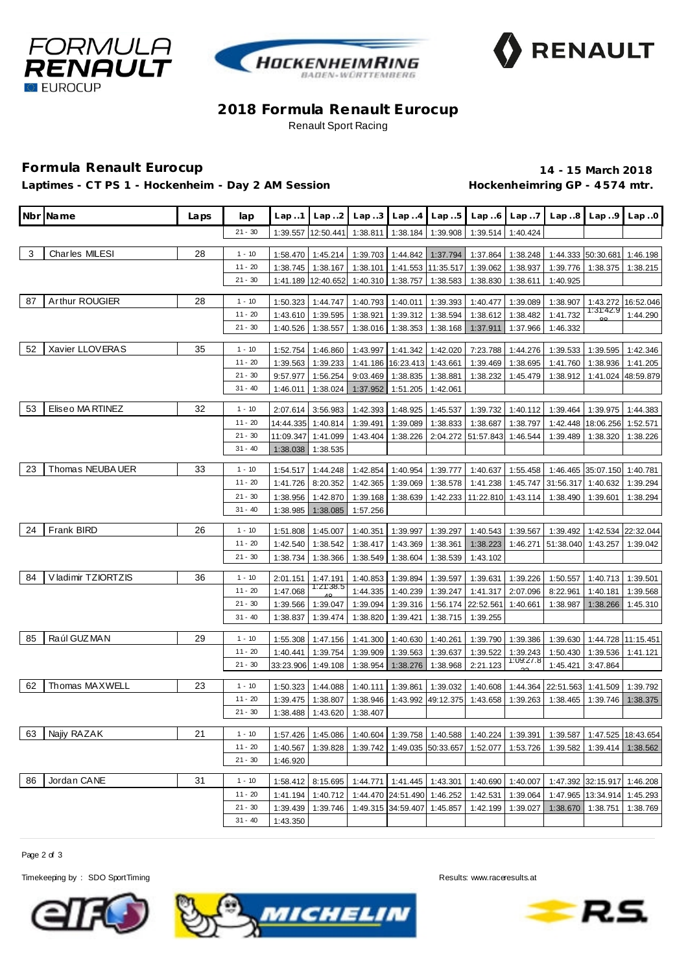





### **2018 Formula Renault Eurocup** Renault Sport Racing

## **Formula Renault Eurocup 14 - 15 March 2018**

Laptimes - CT PS 1 - Hockenheim - Day 2 AM Session **Hockenheimring GP** - 4574 mtr.

|    | Nbr Name           | Laps | lap                    | Lap.1                | Lap.2                 | Lap.3                | Lap.4                       | Lap.5                      | Lap.6                          | Lap.7                | Lap.8                | Lap.9                | Lap.0                |
|----|--------------------|------|------------------------|----------------------|-----------------------|----------------------|-----------------------------|----------------------------|--------------------------------|----------------------|----------------------|----------------------|----------------------|
|    |                    |      | $21 - 30$              | 1:39.557             | 12:50.441             | 1:38.811             | 1:38.184                    | 1:39.908                   | 1:39.514                       | 1:40.424             |                      |                      |                      |
| 3  | Charles MILESI     | 28   | $1 - 10$               | 1:58.470             | 1:45.214              |                      |                             | 1:39.703 1:44.842 1:37.794 | 1:37.864                       | 1:38.248             |                      | 1:44.333 50:30.681   | 1:46.198             |
|    |                    |      | $11 - 20$              | 1:38.745             | 1:38.167              | 1:38.101             |                             | 1:41.553 11:35.517         | 1:39.062                       | 1:38.937             | 1:39.776             | 1:38.375             | 1:38.215             |
|    |                    |      | $21 - 30$              | 1:41.189             | 12:40.652             | 1:40.310             | 1:38.757                    | 1:38.583                   | 1:38.830                       | 1:38.611             | 1:40.925             |                      |                      |
| 87 | Arthur ROUGIER     | 28   | $1 - 10$               | 1:50.323             | 1:44.747              | 1:40.793             | 1:40.011                    | 1:39.393                   | 1:40.477                       | 1:39.089             | 1:38.907             | 1:43.272             | 16:52.046            |
|    |                    |      | $11 - 20$              | 1:43.610             | 1:39.595              | 1:38.921             | 1:39.312                    | 1:38.594                   | 1:38.612                       | 1:38.482             | 1:41.732             | 1:31:42.9            | 1:44.290             |
|    |                    |      | $21 - 30$              | 1:40.526             | 1:38.557              | 1:38.016             | 1:38.353                    | 1:38.168                   | 1:37.911                       | 1:37.966             | 1:46.332             |                      |                      |
| 52 | Xavier LLOVERAS    | 35   | $1 - 10$               | 1:52.754             | 1:46.860              | 1:43.997             |                             | 1:41.342 1:42.020          | 7:23.788                       | 1:44.276             | 1:39.533             | 1:39.595             | 1:42.346             |
|    |                    |      | $11 - 20$              | 1:39.563             | 1:39.233              |                      | 1:41.186 16:23.413 1:43.661 |                            | 1:39.469                       | 1:38.695             | 1:41.760             | 1:38.936             | 1:41.205             |
|    |                    |      | $21 - 30$              | 9:57.977             | 1:56.254              | 9:03.469             |                             | 1:38.835 1:38.881          | 1:38.232                       | 1:45.479             | 1:38.912             | 1:41.024             | 48:59.879            |
|    |                    |      | $31 - 40$              | 1:46.011             | 1:38.024              | 1:37.952             | 1:51.205                    | 1:42.061                   |                                |                      |                      |                      |                      |
|    | Eliseo MA RTINEZ   |      |                        |                      |                       |                      |                             |                            |                                |                      |                      |                      |                      |
| 53 |                    | 32   | $1 - 10$               | 2:07.614             | 3:56.983              | 1:42.393             | 1:48.925                    | 1:45.537                   | 1:39.732                       | 1:40.112             | 1:39.464             | 1:39.975             | 1:44.383             |
|    |                    |      | $11 - 20$              | 14:44.335            | 1:40.814              | 1:39.491             | 1:39.089                    | 1:38.833                   | 1:38.687                       | 1:38.797             | 1:42.448             | 18:06.256            | 1:52.571             |
|    |                    |      | $21 - 30$<br>$31 - 40$ | 11:09.347            | 1:41.099              | 1:43.404             | 1:38.226                    |                            | 2:04.272 51:57.843             | 1:46.544             | 1:39.489             | 1:38.320             | 1:38.226             |
|    |                    |      |                        | 1:38.038             | 1:38.535              |                      |                             |                            |                                |                      |                      |                      |                      |
| 23 | Thomas NEUBA UER   | 33   | $1 - 10$               | 1:54.517             | 1:44.248              | 1:42.854             | 1:40.954                    | 1:39.777                   | 1:40.637                       | 1:55.458             | 1:46.465             | 35:07.150            | 1:40.781             |
|    |                    |      | $11 - 20$              | 1:41.726             | 8:20.352              | 1:42.365             | 1:39.069                    | 1:38.578                   | 1:41.238                       | 1:45.747             | 31:56.317            | 1:40.632             | 1:39.294             |
|    |                    |      | $21 - 30$              | 1:38.956             | 1:42.870              | 1:39.168             | 1:38.639                    |                            | 1:42.233 11:22.810             | 1:43.114             | 1:38.490             | 1:39.601             | 1:38.294             |
|    |                    |      | $31 - 40$              | 1:38.985             | 1:38.085              | 1:57.256             |                             |                            |                                |                      |                      |                      |                      |
| 24 | <b>Frank BIRD</b>  | 26   | $1 - 10$               | 1:51.808             | 1:45.007              | 1:40.351             | 1:39.997                    | 1:39.297                   | 1:40.543                       | 1:39.567             | 1:39.492             | 1:42.534             | 22:32.044            |
|    |                    |      | $11 - 20$              | 1:42.540             | 1:38.542              | 1:38.417             | 1:43.369                    | 1:38.361                   | 1:38.223                       | 1:46.271             | 51:38.040            | 1:43.257             | 1:39.042             |
|    |                    |      | $21 - 30$              | 1:38.734             | 1:38.366              | 1:38.549             | 1:38.604                    | 1:38.539                   | 1:43.102                       |                      |                      |                      |                      |
| 84 | Vladimir TZIORTZIS | 36   |                        |                      |                       |                      |                             |                            |                                |                      |                      |                      |                      |
|    |                    |      | $1 - 10$<br>$11 - 20$  | 2:01.151             | 1:47.191<br>1:21:38.5 | 1:40.853             | 1:39.894                    | 1:39.597                   | 1:39.631                       | 1:39.226<br>2:07.096 | 1:50.557             | 1:40.713             | 1:39.501             |
|    |                    |      | $21 - 30$              | 1:47.068<br>1:39.566 | 1:39.047              | 1:44.335<br>1:39.094 | 1:40.239<br>1:39.316        | 1:39.247                   | 1:41.317<br>1:56.174 22:52.561 | 1:40.661             | 8:22.961<br>1:38.987 | 1:40.181<br>1:38.266 | 1:39.568<br>1:45.310 |
|    |                    |      | $31 - 40$              | 1:38.837             | 1:39.474              | 1:38.820             | 1:39.421                    | 1:38.715                   | 1:39.255                       |                      |                      |                      |                      |
|    |                    |      |                        |                      |                       |                      |                             |                            |                                |                      |                      |                      |                      |
| 85 | Raúl GUZ MAN       | 29   | $1 - 10$               | 1:55.308             | 1:47.156              | 1:41.300             | 1:40.630                    | 1:40.261                   | 1:39.790                       | 1:39.386             | 1:39.630             |                      | 1:44.728 11:15.451   |
|    |                    |      | $11 - 20$              | 1:40.441             | 1:39.754              | 1:39.909             | 1:39.563                    | 1:39.637                   | 1:39.522                       | 1:39.243             | 1:50.430             | 1:39.536             | 1:41.121             |
|    |                    |      | $21 - 30$              | 33:23.906            | 1:49.108              | 1:38.954             | 1:38.276                    | 1:38.968                   | 2:21.123                       | 1:09:27.8            | 1:45.421             | 3:47.864             |                      |
| 62 | Thomas MAXWELL     | 23   | $1 - 10$               | 1:50.323             | 1:44.088              | 1:40.111             | 1:39.861                    | 1:39.032                   | 1:40.608                       | 1:44.364             | 22:51.563            | 1:41.509             | 1:39.792             |
|    |                    |      | $11 - 20$              | 1:39.475             | 1:38.807              | 1:38.946             | 1:43.992                    | 49:12.375                  | 1:43.658                       | 1:39.263             | 1:38.465             | 1:39.746             | 1:38.375             |
|    |                    |      | $21 - 30$              | 1:38.488             | 1:43.620              | 1:38.407             |                             |                            |                                |                      |                      |                      |                      |
| 63 | Najiy RAZAK        | 21   | $1 - 10$               | 1:57.426             | 1:45.086              |                      |                             | 1:40.604 1:39.758 1:40.588 | 1:40.224                       | 1:39.391             | 1:39.587             |                      | 1:47.525 18:43.654   |
|    |                    |      | $11 - 20$              | 1:40.567             | 1:39.828              | 1:39.742             |                             | 1:49.035 50:33.657         | 1:52.077                       | 1:53.726             | 1:39.582             | 1:39.414             | 1:38.562             |
|    |                    |      | $21 - 30$              | 1:46.920             |                       |                      |                             |                            |                                |                      |                      |                      |                      |
|    |                    |      |                        |                      |                       |                      |                             |                            |                                |                      |                      |                      |                      |
| 86 | Jordan CANE        | 31   | $1 - 10$               | 1:58.412             | 8:15.695              |                      |                             | 1:44.771 1:41.445 1:43.301 | 1:40.690                       | 1:40.007             |                      | 1:47.392 32:15.917   | 1:46.208             |
|    |                    |      | $11 - 20$              | 1:41.194             | 1:40.712              |                      | 1:44.470 24:51.490 1:46.252 |                            | 1:42.531                       | 1:39.064             | 1:47.965             | 13:34.914            | 1:45.293             |
|    |                    |      | $21 - 30$              | 1:39.439             | 1:39.746              |                      | 1:49.315 34:59.407 1:45.857 |                            | 1:42.199                       | 1:39.027             | 1:38.670             | 1:38.751             | 1:38.769             |
|    |                    |      | $31 - 40$              | 1:43.350             |                       |                      |                             |                            |                                |                      |                      |                      |                      |

Page 2 of 3

Timekeeping by : SDO SportTiming Results: www.raceresults.at